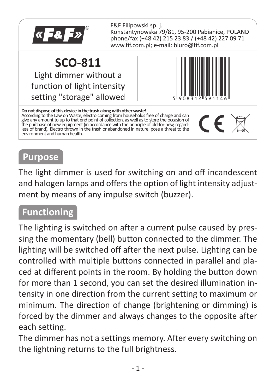

## **Purpose**

The light dimmer is used for switching on and off incandescent and halogen lamps and offers the option of light intensity adjustment by means of any impulse switch (buzzer).

### **Functioning**

The lighting is switched on after a current pulse caused by pressing the momentary (bell) button connected to the dimmer. The lighting will be switched off after the next pulse. Lighting can be controlled with multiple buttons connected in parallel and placed at different points in the room. By holding the button down for more than 1 second, you can set the desired illumination intensity in one direction from the current setting to maximum or minimum. The direction of change (brightening or dimming) is forced by the dimmer and always changes to the opposite after each setting.

The dimmer has not a settings memory. After every switching on the lightning returns to the full brightness.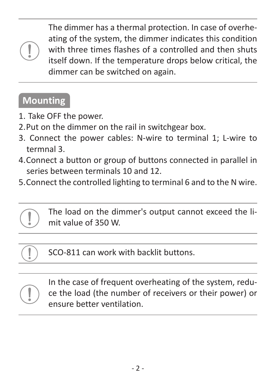The dimmer has a thermal protection. In case of overheating of the system, the dimmer indicates this condition with three times flashes of a controlled and then shuts itself down. If the temperature drops below critical, the dimmer can be switched on again.

## **Mounting**

- 1.Take OFF the power.
- 2. Put on the dimmer on the rail in switchgear box.
- 3.Connect the power cables: N-wire to terminal 1; L-wire to termnal 3.
- 4. Connect a button or group of buttons connected in parallel in series between terminals 10 and 12.
- 5. Connect the controlled lighting to terminal 6 and to the N wire.



SCO-811 can work with backlit buttons.



In the case of frequent overheating of the system, reduce the load (the number of receivers or their power) or ensure better ventilation.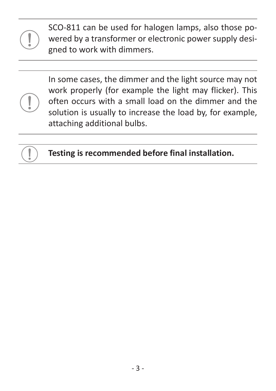SCO-811 can be used for halogen lamps, also those powered by a transformer or electronic power supply designed to work with dimmers.



In some cases, the dimmer and the light source may not work properly (for example the light may flicker). This often occurs with a small load on the dimmer and the solution is usually to increase the load by, for example, attaching additional bulbs.



**Testing is recommended before final installation.**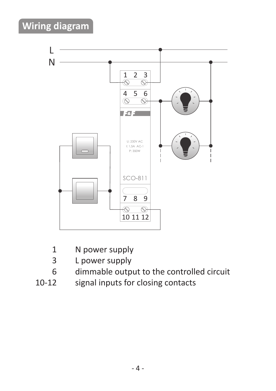# **Wiring diagram**



- 1 N power supply
- 3 L power supply
- 6 dimmable output to the controlled circuit<br>10-12 signal inputs for closing contacts
- signal inputs for closing contacts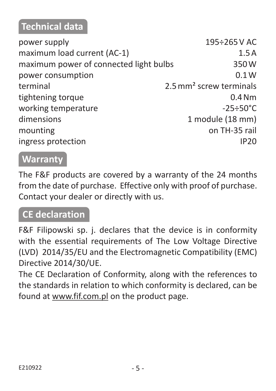## **Technical data**

| power supply                           | 195÷265VAC                          |
|----------------------------------------|-------------------------------------|
| maximum load current (AC-1)            | 1.5A                                |
| maximum power of connected light bulbs | 350W                                |
| power consumption                      | 0.1W                                |
| terminal                               | 2.5 mm <sup>2</sup> screw terminals |
| tightening torque                      | 0.4 <sub>Nm</sub>                   |
| working temperature                    | $-25 \div 50^{\circ}$ C             |
| dimensions                             | 1 module (18 mm)                    |
| mounting                               | on TH-35 rail                       |
| ingress protection                     | <b>IP20</b>                         |
|                                        |                                     |

#### **Warranty**

The F&F products are covered by a warranty of the 24 months from the date of purchase. Effective only with proof of purchase. Contact your dealer or directly with us.

## **CE declaration**

F&F Filipowski sp. j. declares that the device is in conformity with the essential requirements of The Low Voltage Directive (LVD) 2014/35/EU and the Electromagnetic Compatibility (EMC) Directive 2014/30/UE.

The CE Declaration of Conformity, along with the references to the standards in relation to which conformity is declared, can be found at www.fif.com.pl on the product page.